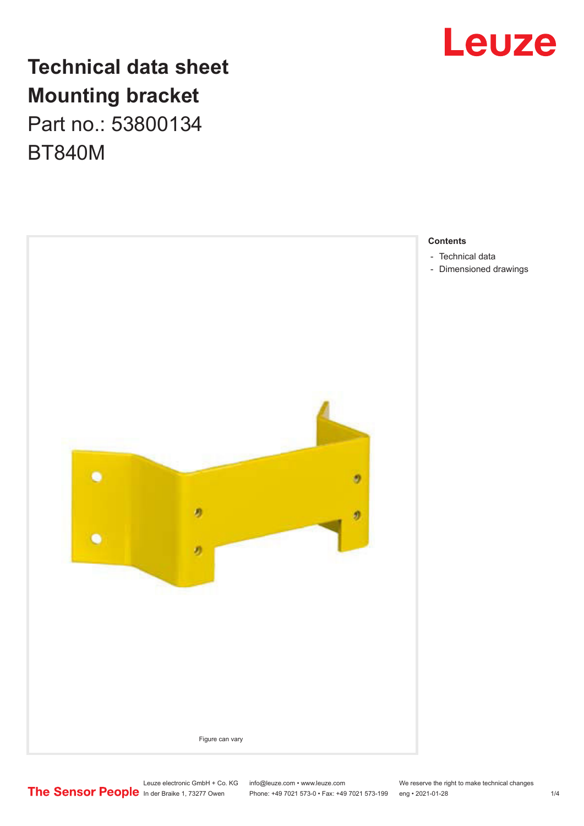

## **Technical data sheet Mounting bracket** Part no.: 53800134

BT840M



- [Technical data](#page-1-0)
- [Dimensioned drawings](#page-1-0)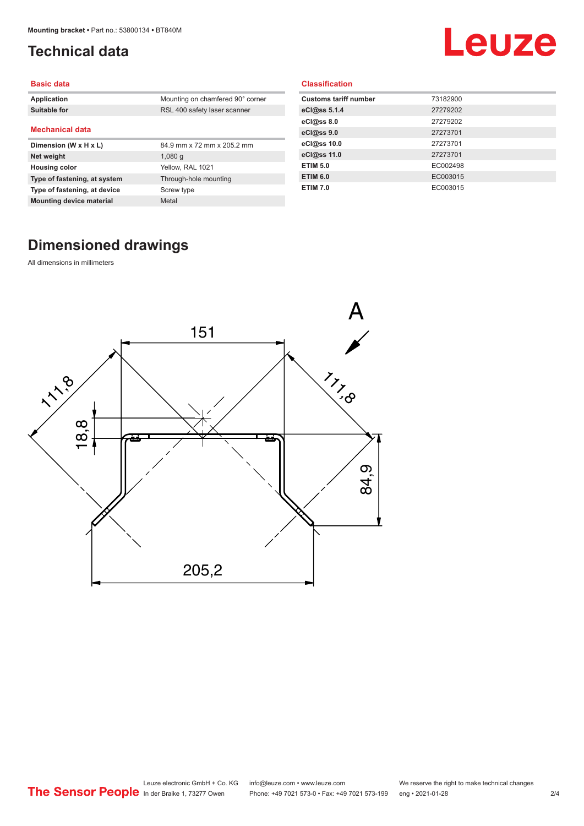## <span id="page-1-0"></span>**Technical data**

# Leuze

#### **Basic data**

| Application                     | Mounting on chamfered 90° corner |
|---------------------------------|----------------------------------|
| Suitable for                    | RSL 400 safety laser scanner     |
|                                 |                                  |
| <b>Mechanical data</b>          |                                  |
| Dimension (W x H x L)           | 84.9 mm x 72 mm x 205.2 mm       |
| Net weight                      | $1,080$ q                        |
| <b>Housing color</b>            | Yellow, RAL 1021                 |
| Type of fastening, at system    | Through-hole mounting            |
| Type of fastening, at device    | Screw type                       |
| <b>Mounting device material</b> | Metal                            |

#### **Classification**

| <b>Customs tariff number</b> | 73182900 |
|------------------------------|----------|
| eCl@ss 5.1.4                 | 27279202 |
| eCl@ss 8.0                   | 27279202 |
| eCl@ss 9.0                   | 27273701 |
| eCl@ss 10.0                  | 27273701 |
| eCl@ss 11.0                  | 27273701 |
| <b>ETIM 5.0</b>              | EC002498 |
| <b>ETIM 6.0</b>              | EC003015 |
| <b>ETIM 7.0</b>              | EC003015 |

## **Dimensioned drawings**

All dimensions in millimeters

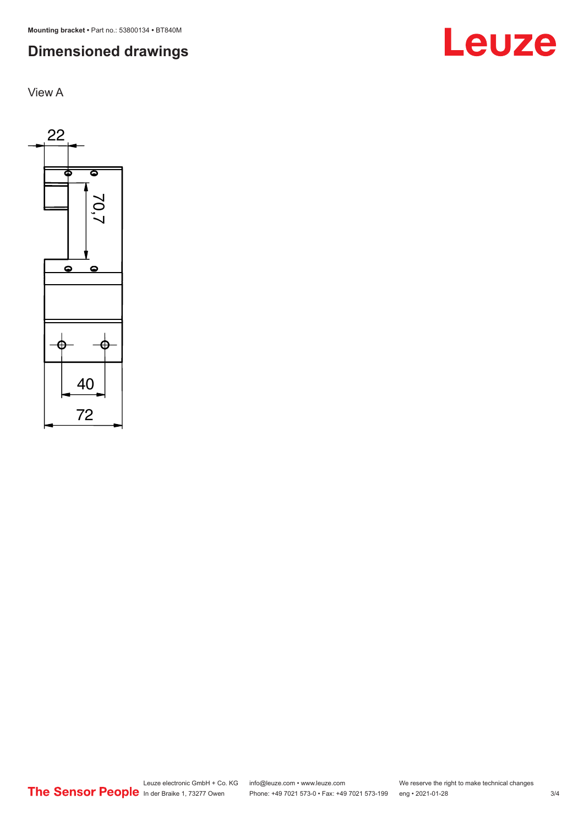**Mounting bracket •** Part no.: 53800134 **•** BT840M

## **Dimensioned drawings**

View A